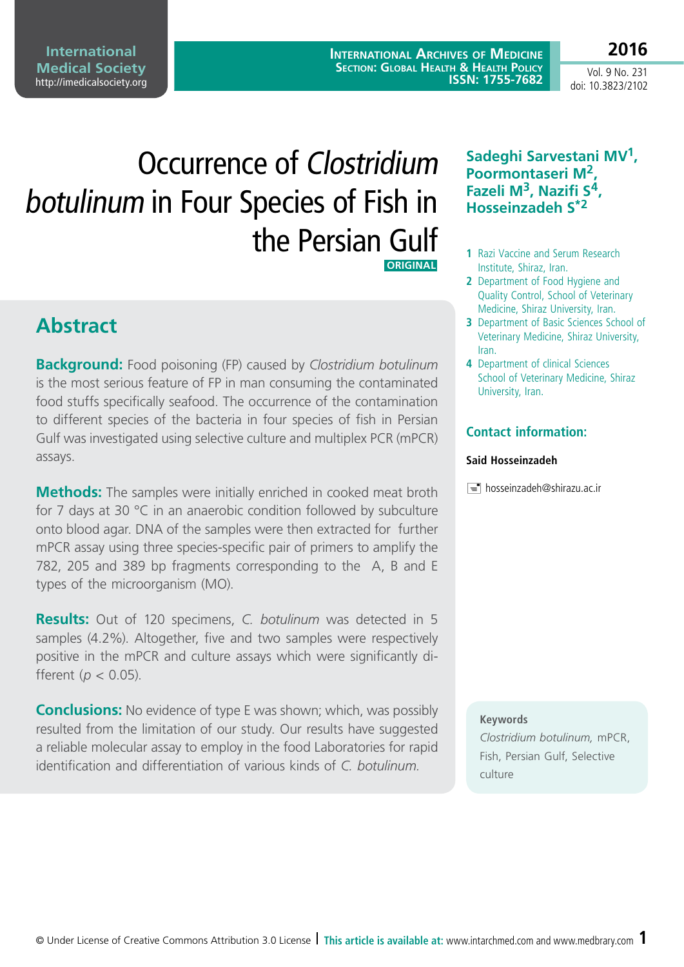**International Archives of Medicine Section: Global Health & Health Policy ISSN: 1755-7682**

Vol. 9 No. 231 doi: 10.3823/2102

**2016**

# Occurrence of Clostridium botulinum in Four Species of Fish in the Persian Gulf  **ORIGINAL**

**Abstract**

**Background:** Food poisoning (FP) caused by *Clostridium botulinum* is the most serious feature of FP in man consuming the contaminated food stuffs specifically seafood. The occurrence of the contamination to different species of the bacteria in four species of fish in Persian Gulf was investigated using selective culture and multiplex PCR (mPCR) assays.

**Methods:** The samples were initially enriched in cooked meat broth for 7 days at 30 °C in an anaerobic condition followed by subculture onto blood agar. DNA of the samples were then extracted for further mPCR assay using three species-specific pair of primers to amplify the 782, 205 and 389 bp fragments corresponding to the A, B and E types of the microorganism (MO).

**Results:** Out of 120 specimens, *C. botulinum* was detected in 5 samples (4.2%). Altogether, five and two samples were respectively positive in the mPCR and culture assays which were significantly different (*p* < 0.05).

**Conclusions:** No evidence of type E was shown; which, was possibly resulted from the limitation of our study. Our results have suggested a reliable molecular assay to employ in the food Laboratories for rapid identification and differentiation of various kinds of *C. botulinum.*

### **Sadeghi Sarvestani MV1, Poormontaseri M2, Fazeli M3, Nazifi S4, Hosseinzadeh S\*2**

- **1** Razi Vaccine and Serum Research Institute, Shiraz, Iran.
- **2** Department of Food Hygiene and Quality Control, School of Veterinary Medicine, Shiraz University, Iran.
- **3** Department of Basic Sciences School of Veterinary Medicine, Shiraz University, Iran.
- **4** Department of clinical Sciences School of Veterinary Medicine, Shiraz University, Iran.

### **Contact information:**

### **Said Hosseinzadeh**

[hosseinzadeh@shirazu.ac.ir](mailto:hosseinzadeh@shirazu.ac.ir)

### **Keywords**

*Clostridium botulinum,* mPCR, Fish, Persian Gulf, Selective culture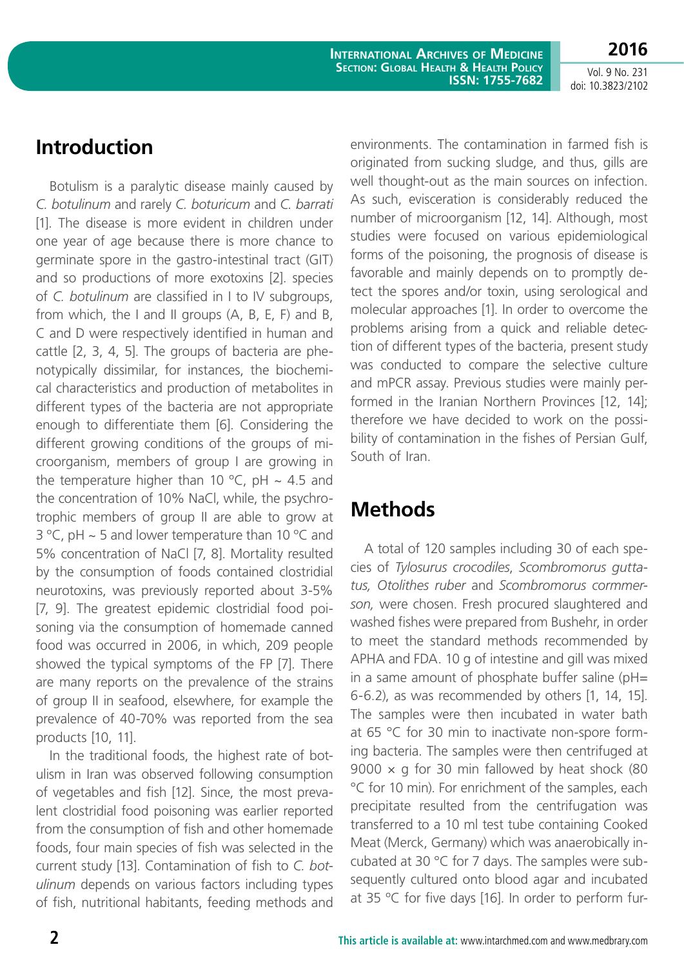**International Archives of Medicine Section: Global Health & Health Policy ISSN: 1755-7682**

Vol. 9 No. 231 doi: 10.3823/2102

**2016**

### **Introduction**

Botulism is a paralytic disease mainly caused by *C. botulinum* and rarely *C. boturicum* and *C. barrati*  [1]. The disease is more evident in children under one year of age because there is more chance to germinate spore in the gastro-intestinal tract (GIT) and so productions of more exotoxins [2]. species of *C. botulinum* are classified in I to IV subgroups, from which, the I and II groups (A, B, E, F) and B, C and D were respectively identified in human and cattle [2, 3, 4, 5]. The groups of bacteria are phenotypically dissimilar, for instances, the biochemical characteristics and production of metabolites in different types of the bacteria are not appropriate enough to differentiate them [6]. Considering the different growing conditions of the groups of microorganism, members of group I are growing in the temperature higher than 10 °C, pH  $\sim$  4.5 and the concentration of 10% NaCl, while, the psychrotrophic members of group II are able to grow at 3 °C, pH  $\sim$  5 and lower temperature than 10 °C and 5% concentration of NaCl [7, 8]. Mortality resulted by the consumption of foods contained clostridial neurotoxins, was previously reported about 3-5% [7, 9]. The greatest epidemic clostridial food poisoning via the consumption of homemade canned food was occurred in 2006, in which, 209 people showed the typical symptoms of the FP [7]. There are many reports on the prevalence of the strains of group II in seafood, elsewhere, for example the prevalence of 40-70% was reported from the sea products [10, 11].

In the traditional foods, the highest rate of botulism in Iran was observed following consumption of vegetables and fish [12]. Since, the most prevalent clostridial food poisoning was earlier reported from the consumption of fish and other homemade foods, four main species of fish was selected in the current study [13]. Contamination of fish to *C. botulinum* depends on various factors including types of fish, nutritional habitants, feeding methods and

environments. The contamination in farmed fish is originated from sucking sludge, and thus, gills are well thought-out as the main sources on infection. As such, evisceration is considerably reduced the number of microorganism [12, 14]. Although, most studies were focused on various epidemiological forms of the poisoning, the prognosis of disease is favorable and mainly depends on to promptly detect the spores and/or toxin, using serological and molecular approaches [1]. In order to overcome the problems arising from a quick and reliable detection of different types of the bacteria, present study was conducted to compare the selective culture and mPCR assay. Previous studies were mainly performed in the Iranian Northern Provinces [12, 14]; therefore we have decided to work on the possibility of contamination in the fishes of Persian Gulf, South of Iran.

# **Methods**

A total of 120 samples including 30 of each species of *Tylosurus crocodiles*, *Scombromorus guttatus, Otolithes ruber* and *Scombromorus cormmerson,* were chosen. Fresh procured slaughtered and washed fishes were prepared from Bushehr, in order to meet the standard methods recommended by APHA and FDA. 10 g of intestine and gill was mixed in a same amount of phosphate buffer saline ( $pH=$ 6-6.2), as was recommended by others [1, 14, 15]. The samples were then incubated in water bath at 65 °C for 30 min to inactivate non-spore forming bacteria. The samples were then centrifuged at 9000  $\times$  g for 30 min fallowed by heat shock (80 °C for 10 min). For enrichment of the samples, each precipitate resulted from the centrifugation was transferred to a 10 ml test tube containing Cooked Meat (Merck, Germany) which was anaerobically incubated at 30 °C for 7 days. The samples were subsequently cultured onto blood agar and incubated at 35 ºC for five days [16]. In order to perform fur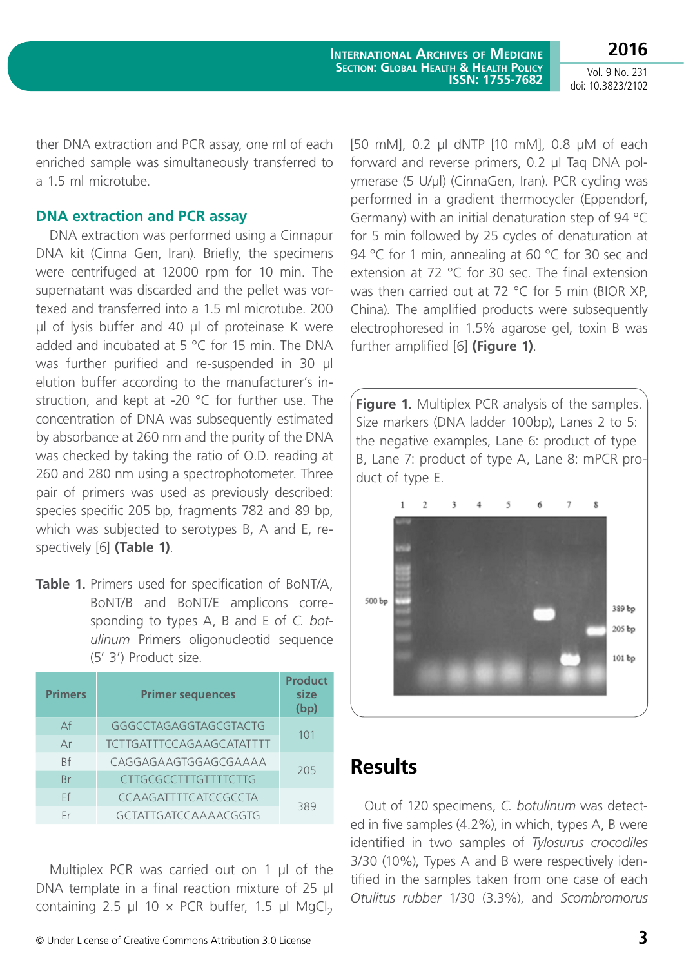**International Archives of Medicine Section: Global Health & Health Policy ISSN: 1755-7682**

Vol. 9 No. 231 doi: 10.3823/2102

**2016**

ther DNA extraction and PCR assay, one ml of each enriched sample was simultaneously transferred to a 1.5 ml microtube.

### **DNA extraction and PCR assay**

DNA extraction was performed using a Cinnapur DNA kit (Cinna Gen, Iran). Briefly, the specimens were centrifuged at 12000 rpm for 10 min. The supernatant was discarded and the pellet was vortexed and transferred into a 1.5 ml microtube. 200 µl of lysis buffer and 40 µl of proteinase K were added and incubated at 5 °C for 15 min. The DNA was further purified and re-suspended in 30 µl elution buffer according to the manufacturer's instruction, and kept at -20 °C for further use. The concentration of DNA was subsequently estimated by absorbance at 260 nm and the purity of the DNA was checked by taking the ratio of O.D. reading at 260 and 280 nm using a spectrophotometer. Three pair of primers was used as previously described: species specific 205 bp, fragments 782 and 89 bp, which was subjected to serotypes B, A and E, respectively [6] **(Table 1)**.

**Table 1.** Primers used for specification of BoNT/A, BoNT/B and BoNT/E amplicons corresponding to types A, B and E of *C. botulinum* Primers oligonucleotid sequence (5' 3') Product size.

| <b>Primers</b> | <b>Primer sequences</b>         | <b>Product</b><br>size<br>(bp) |  |
|----------------|---------------------------------|--------------------------------|--|
| Αf             | GGGCCTAGAGGTAGCGTACTG           | 101                            |  |
| Ar             | <b>TCTTGATTTCCAGAAGCATATTTT</b> |                                |  |
| <b>Rf</b>      | CAGGAGAAGTGGAGCGAAAA            | 205                            |  |
| <b>Br</b>      | <b>CTTGCGCCTTTGTTTTCTTG</b>     |                                |  |
| Ff             | CCAAGATTTTCATCCGCCTA            | 389                            |  |
| Fr             | GCTATTGATCCAAAACGGTG            |                                |  |

Multiplex PCR was carried out on 1 µl of the DNA template in a final reaction mixture of 25 µl containing 2.5 µl 10  $\times$  PCR buffer, 1.5 µl MgCl<sub>2</sub>

[50 mM], 0.2 µl dNTP [10 mM], 0.8 µM of each forward and reverse primers, 0.2 µl Taq DNA polymerase (5 U/µl) (CinnaGen, Iran). PCR cycling was performed in a gradient thermocycler (Eppendorf, Germany) with an initial denaturation step of 94 °C for 5 min followed by 25 cycles of denaturation at 94 °C for 1 min, annealing at 60 °C for 30 sec and extension at 72 °C for 30 sec. The final extension was then carried out at 72 °C for 5 min (BIOR XP, China). The amplified products were subsequently electrophoresed in 1.5% agarose gel, toxin B was further amplified [6] **(Figure 1)**.

**Figure 1.** Multiplex PCR analysis of the samples. Size markers (DNA ladder 100bp), Lanes 2 to 5: the negative examples, Lane 6: product of type B, Lane 7: product of type A, Lane 8: mPCR product of type E.



### **Results**

Out of 120 specimens, *C. botulinum* was detected in five samples (4.2%), in which, types A, B were identified in two samples of *Tylosurus crocodiles* 3/30 (10%), Types A and B were respectively identified in the samples taken from one case of each *Otulitus rubber* 1/30 (3.3%), and *Scombromorus*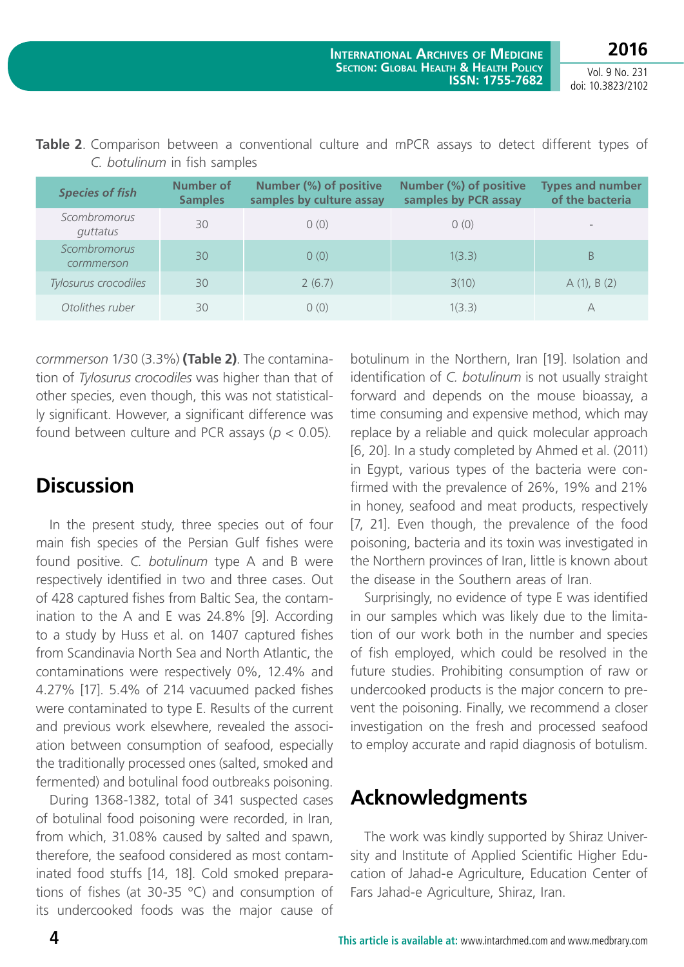Vol. 9 No. 231 doi: 10.3823/2102

| <b>Species of fish</b>            | <b>Number of</b><br><b>Samples</b> | Number (%) of positive<br>samples by culture assay | Number (%) of positive<br>samples by PCR assay | <b>Types and number</b><br>of the bacteria |
|-----------------------------------|------------------------------------|----------------------------------------------------|------------------------------------------------|--------------------------------------------|
| Scombromorus<br>guttatus          | 30                                 | 0(0)                                               | 0(0)                                           |                                            |
| <b>Scombromorus</b><br>cormmerson | 30                                 | 0(0)                                               | 1(3.3)                                         | B                                          |
| Tylosurus crocodiles              | 30                                 | 2(6.7)                                             | 3(10)                                          | A(1), B(2)                                 |
| Otolithes ruber                   | 30                                 | 0(0)                                               | 1(3.3)                                         | A                                          |

**Table 2**. Comparison between a conventional culture and mPCR assays to detect different types of *C. botulinum* in fish samples

*cormmerson* 1/30 (3.3%) **(Table 2)**. The contamination of *Tylosurus crocodiles* was higher than that of other species, even though, this was not statistically significant. However, a significant difference was found between culture and PCR assays (*p* < 0.05).

# **Discussion**

In the present study, three species out of four main fish species of the Persian Gulf fishes were found positive. *C. botulinum* type A and B were respectively identified in two and three cases. Out of 428 captured fishes from Baltic Sea, the contamination to the A and E was 24.8% [9]. According to a study by Huss et al. on 1407 captured fishes from Scandinavia North Sea and North Atlantic, the contaminations were respectively 0%, 12.4% and 4.27% [17]. 5.4% of 214 vacuumed packed fishes were contaminated to type E. Results of the current and previous work elsewhere, revealed the association between consumption of seafood, especially the traditionally processed ones (salted, smoked and fermented) and botulinal food outbreaks poisoning.

During 1368-1382, total of 341 suspected cases of botulinal food poisoning were recorded, in Iran, from which, 31.08% caused by salted and spawn, therefore, the seafood considered as most contaminated food stuffs [14, 18]. Cold smoked preparations of fishes (at 30-35 ºC) and consumption of its undercooked foods was the major cause of botulinum in the Northern, Iran [19]. Isolation and identification of *C. botulinum* is not usually straight forward and depends on the mouse bioassay, a time consuming and expensive method, which may replace by a reliable and quick molecular approach [6, 20]. In a study completed by Ahmed et al. (2011) in Egypt, various types of the bacteria were confirmed with the prevalence of 26%, 19% and 21% in honey, seafood and meat products, respectively [7, 21]. Even though, the prevalence of the food poisoning, bacteria and its toxin was investigated in the Northern provinces of Iran, little is known about the disease in the Southern areas of Iran.

Surprisingly, no evidence of type E was identified in our samples which was likely due to the limitation of our work both in the number and species of fish employed, which could be resolved in the future studies. Prohibiting consumption of raw or undercooked products is the major concern to prevent the poisoning. Finally, we recommend a closer investigation on the fresh and processed seafood to employ accurate and rapid diagnosis of botulism.

# **Acknowledgments**

The work was kindly supported by Shiraz University and Institute of Applied Scientific Higher Education of Jahad-e Agriculture, Education Center of Fars Jahad-e Agriculture, Shiraz, Iran.